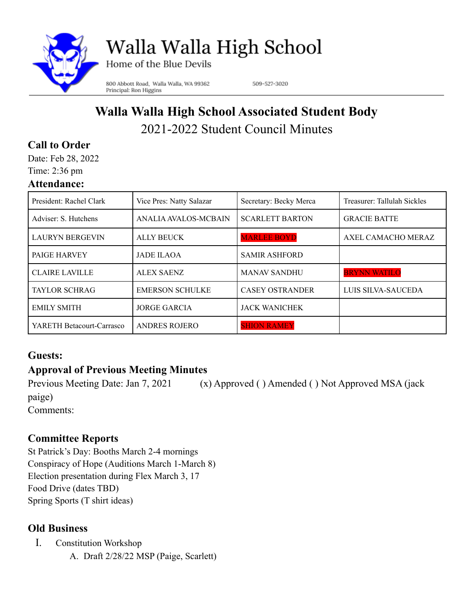

# Walla Walla High School

Home of the Blue Devils

800 Abbott Road, Walla Walla, WA 99362 Principal: Ron Higgins

509-527-3020

# **Walla Walla High School Associated Student Body** 2021-2022 Student Council Minutes

# **Call to Order**

Date: Feb 28, 2022 Time: 2:36 pm

#### **Attendance:**

| President: Rachel Clark   | Vice Pres: Natty Salazar | Secretary: Becky Merca | Treasurer: Tallulah Sickles |
|---------------------------|--------------------------|------------------------|-----------------------------|
| Adviser: S. Hutchens      | ANALIA AVALOS-MCBAIN     | <b>SCARLETT BARTON</b> | <b>GRACIE BATTE</b>         |
| <b>LAURYN BERGEVIN</b>    | <b>ALLY BEUCK</b>        | <b>MARLEE BOYD</b>     | AXEL CAMACHO MERAZ          |
| <b>PAIGE HARVEY</b>       | <b>JADE ILAOA</b>        | <b>SAMIR ASHFORD</b>   |                             |
| <b>CLAIRE LAVILLE</b>     | <b>ALEX SAENZ</b>        | <b>MANAV SANDHU</b>    | <b>BRYNN WATILO</b>         |
| <b>TAYLOR SCHRAG</b>      | <b>EMERSON SCHULKE</b>   | <b>CASEY OSTRANDER</b> | LUIS SILVA-SAUCEDA          |
| <b>EMILY SMITH</b>        | <b>JORGE GARCIA</b>      | <b>JACK WANICHEK</b>   |                             |
| YARETH Betacourt-Carrasco | <b>ANDRES ROJERO</b>     | <b>SHION RAMEY</b>     |                             |

## **Guests:**

# **Approval of Previous Meeting Minutes**

Previous Meeting Date: Jan 7, 2021 (x) Approved ( ) Amended ( ) Not Approved MSA (jack paige) Comments:

## **Committee Reports**

St Patrick's Day: Booths March 2-4 mornings Conspiracy of Hope (Auditions March 1-March 8) Election presentation during Flex March 3, 17 Food Drive (dates TBD) Spring Sports (T shirt ideas)

## **Old Business**

- I. Constitution Workshop
	- A. Draft 2/28/22 MSP (Paige, Scarlett)